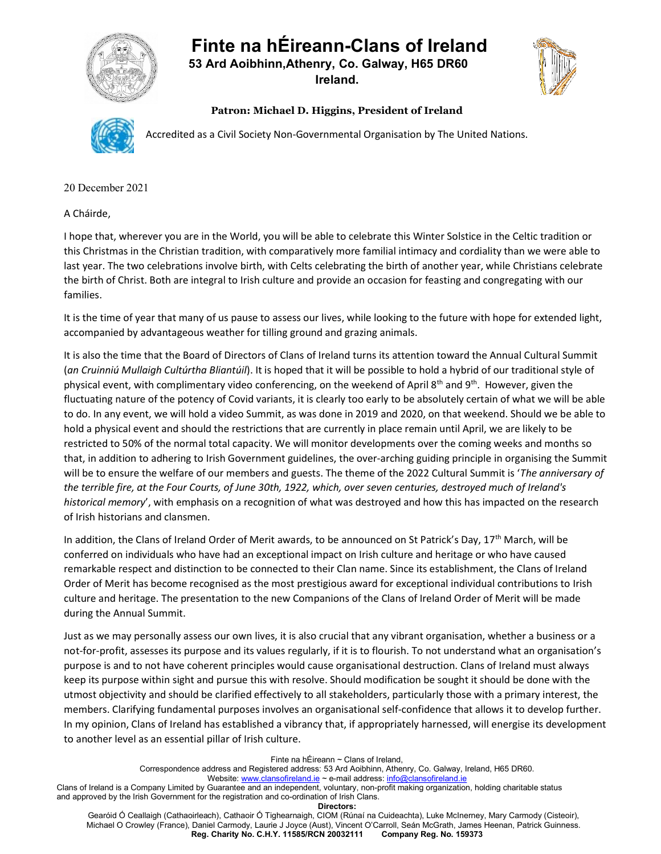## Finte na hÉireann-Clans of Ireland



 53 Ard Aoibhinn,Athenry, Co. Galway, H65 DR60 Ireland.



Patron: Michael D. Higgins, President of Ireland



Accredited as a Civil Society Non-Governmental Organisation by The United Nations.

20 December 2021

A Cháirde,

I hope that, wherever you are in the World, you will be able to celebrate this Winter Solstice in the Celtic tradition or this Christmas in the Christian tradition, with comparatively more familial intimacy and cordiality than we were able to last year. The two celebrations involve birth, with Celts celebrating the birth of another year, while Christians celebrate the birth of Christ. Both are integral to Irish culture and provide an occasion for feasting and congregating with our families.

It is the time of year that many of us pause to assess our lives, while looking to the future with hope for extended light, accompanied by advantageous weather for tilling ground and grazing animals.

It is also the time that the Board of Directors of Clans of Ireland turns its attention toward the Annual Cultural Summit (an Cruinniú Mullaigh Cultúrtha Bliantúil). It is hoped that it will be possible to hold a hybrid of our traditional style of physical event, with complimentary video conferencing, on the weekend of April 8<sup>th</sup> and 9<sup>th</sup>. However, given the fluctuating nature of the potency of Covid variants, it is clearly too early to be absolutely certain of what we will be able to do. In any event, we will hold a video Summit, as was done in 2019 and 2020, on that weekend. Should we be able to hold a physical event and should the restrictions that are currently in place remain until April, we are likely to be restricted to 50% of the normal total capacity. We will monitor developments over the coming weeks and months so that, in addition to adhering to Irish Government guidelines, the over-arching guiding principle in organising the Summit will be to ensure the welfare of our members and guests. The theme of the 2022 Cultural Summit is 'The anniversary of the terrible fire, at the Four Courts, of June 30th, 1922, which, over seven centuries, destroyed much of Ireland's historical memory', with emphasis on a recognition of what was destroyed and how this has impacted on the research of Irish historians and clansmen.

In addition, the Clans of Ireland Order of Merit awards, to be announced on St Patrick's Day, 17<sup>th</sup> March, will be conferred on individuals who have had an exceptional impact on Irish culture and heritage or who have caused remarkable respect and distinction to be connected to their Clan name. Since its establishment, the Clans of Ireland Order of Merit has become recognised as the most prestigious award for exceptional individual contributions to Irish culture and heritage. The presentation to the new Companions of the Clans of Ireland Order of Merit will be made during the Annual Summit.

Just as we may personally assess our own lives, it is also crucial that any vibrant organisation, whether a business or a not-for-profit, assesses its purpose and its values regularly, if it is to flourish. To not understand what an organisation's purpose is and to not have coherent principles would cause organisational destruction. Clans of Ireland must always keep its purpose within sight and pursue this with resolve. Should modification be sought it should be done with the utmost objectivity and should be clarified effectively to all stakeholders, particularly those with a primary interest, the members. Clarifying fundamental purposes involves an organisational self-confidence that allows it to develop further. In my opinion, Clans of Ireland has established a vibrancy that, if appropriately harnessed, will energise its development to another level as an essential pillar of Irish culture.

Finte na hÉireann ~ Clans of Ireland,

Website: www.clansofireland.ie ~ e-mail address: info@clansofireland.ie

Clans of Ireland is a Company Limited by Guarantee and an independent, voluntary, non-profit making organization, holding charitable status and approved by the Irish Government for the registration and co-ordination of Irish Clans.

Directors:

Gearóid Ó Ceallaigh (Cathaoirleach), Cathaoir Ó Tighearnaigh, CIOM (Rúnaí na Cuideachta), Luke McInerney, Mary Carmody (Cisteoir), Michael O Crowley (France), Daniel Carmody, Laurie J Joyce (Aust), Vincent O'Carroll, Seán McGrath, James Heenan, Patrick Guinness.<br>Reg. Charity No. C.H.Y. 11585/RCN 20032111 Company Reg. No. 159373 Reg. Charity No. C.H.Y. 11585/RCN 20032111